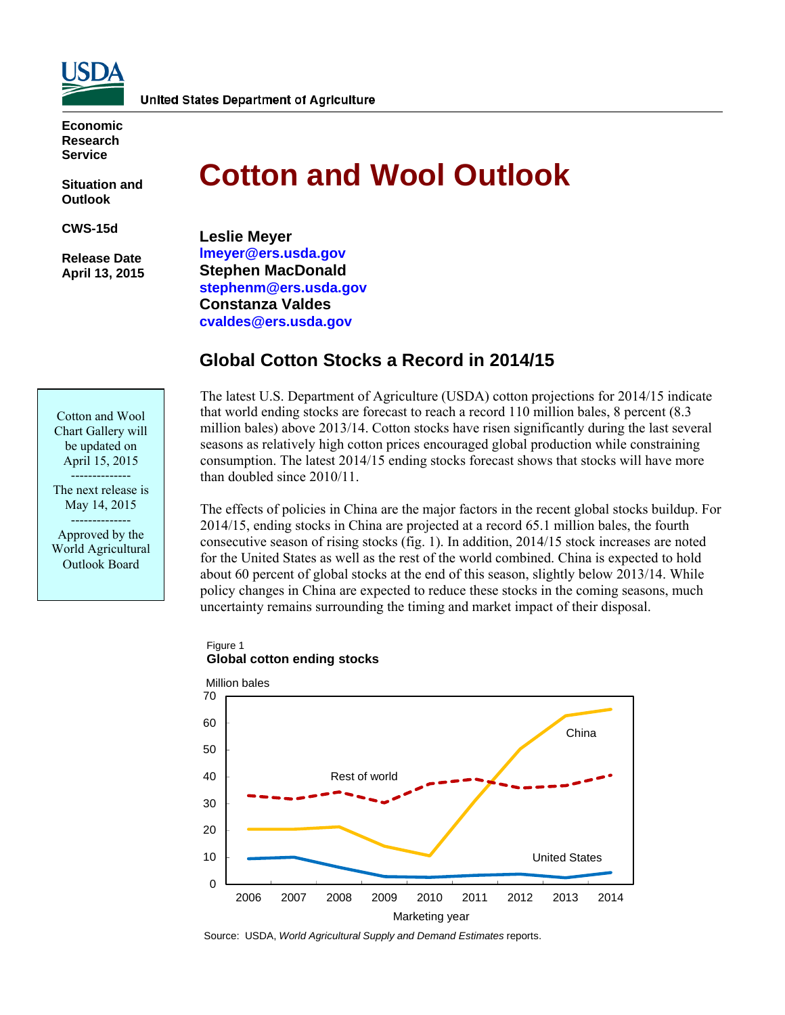

**Economic Research Service** 

**Situation and Outlook** 

**CWS-15d** 

 **Release Date April 13, 2015** 

Cotton and Wool Chart Gallery will be updated on April 15, 2015 -------------- The next release is May 14, 2015 -------------- Approved by the World Agricultural Outlook Board

# **Cotton and Wool Outlook**

**Leslie Meyer lmeyer@ers.usda.gov Stephen MacDonald stephenm@ers.usda.gov Constanza Valdes cvaldes@ers.usda.gov** 

# **Global Cotton Stocks a Record in 2014/15**

The latest U.S. Department of Agriculture (USDA) cotton projections for 2014/15 indicate that world ending stocks are forecast to reach a record 110 million bales, 8 percent (8.3 million bales) above 2013/14. Cotton stocks have risen significantly during the last several seasons as relatively high cotton prices encouraged global production while constraining consumption. The latest 2014/15 ending stocks forecast shows that stocks will have more than doubled since 2010/11.

The effects of policies in China are the major factors in the recent global stocks buildup. For 2014/15, ending stocks in China are projected at a record 65.1 million bales, the fourth consecutive season of rising stocks (fig. 1). In addition, 2014/15 stock increases are noted for the United States as well as the rest of the world combined. China is expected to hold about 60 percent of global stocks at the end of this season, slightly below 2013/14. While policy changes in China are expected to reduce these stocks in the coming seasons, much uncertainty remains surrounding the timing and market impact of their disposal.

Figure 1 **Global cotton ending stocks**



Source: USDA, *World Agricultural Supply and Demand Estimates* reports.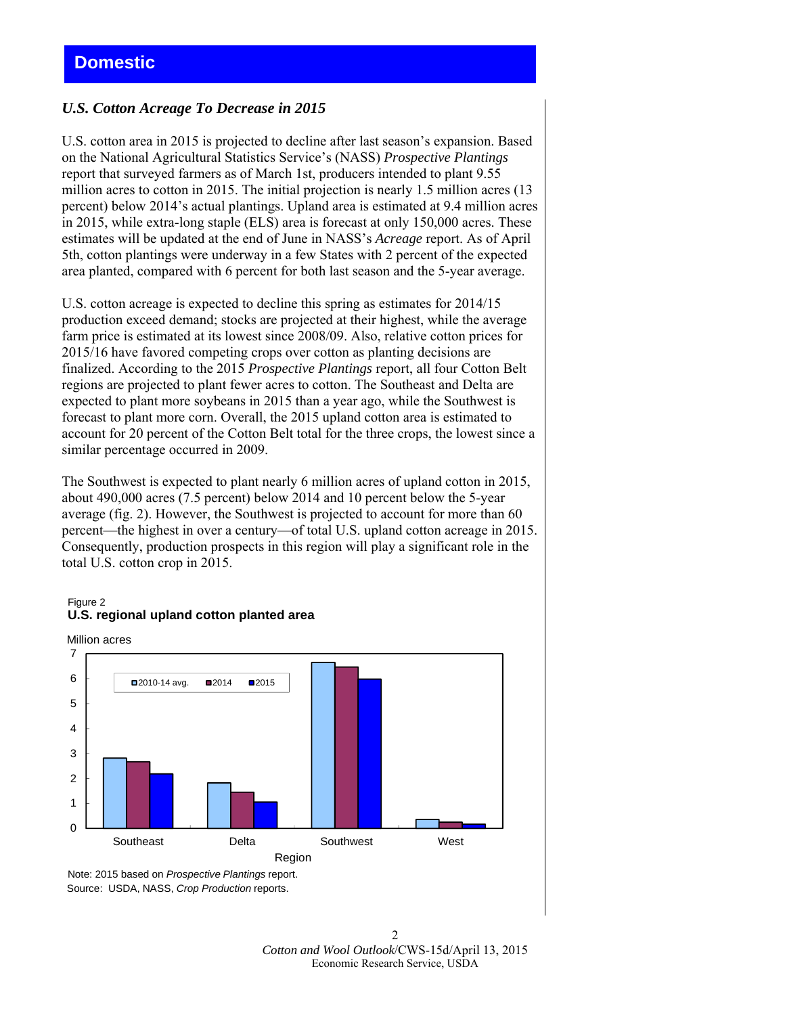# *U.S. Cotton Acreage To Decrease in 2015*

U.S. cotton area in 2015 is projected to decline after last season's expansion. Based on the National Agricultural Statistics Service's (NASS) *Prospective Plantings* report that surveyed farmers as of March 1st, producers intended to plant 9.55 million acres to cotton in 2015. The initial projection is nearly 1.5 million acres (13 percent) below 2014's actual plantings. Upland area is estimated at 9.4 million acres in 2015, while extra-long staple (ELS) area is forecast at only 150,000 acres. These estimates will be updated at the end of June in NASS's *Acreage* report. As of April 5th, cotton plantings were underway in a few States with 2 percent of the expected area planted, compared with 6 percent for both last season and the 5-year average.

U.S. cotton acreage is expected to decline this spring as estimates for 2014/15 production exceed demand; stocks are projected at their highest, while the average farm price is estimated at its lowest since 2008/09. Also, relative cotton prices for 2015/16 have favored competing crops over cotton as planting decisions are finalized. According to the 2015 *Prospective Plantings* report, all four Cotton Belt regions are projected to plant fewer acres to cotton. The Southeast and Delta are expected to plant more soybeans in 2015 than a year ago, while the Southwest is forecast to plant more corn. Overall, the 2015 upland cotton area is estimated to account for 20 percent of the Cotton Belt total for the three crops, the lowest since a similar percentage occurred in 2009.

The Southwest is expected to plant nearly 6 million acres of upland cotton in 2015, about 490,000 acres (7.5 percent) below 2014 and 10 percent below the 5-year average (fig. 2). However, the Southwest is projected to account for more than 60 percent—the highest in over a century—of total U.S. upland cotton acreage in 2015. Consequently, production prospects in this region will play a significant role in the total U.S. cotton crop in 2015.

#### Figure 2 **U.S. regional upland cotton planted area**





Source: USDA, NASS, *Crop Production* reports.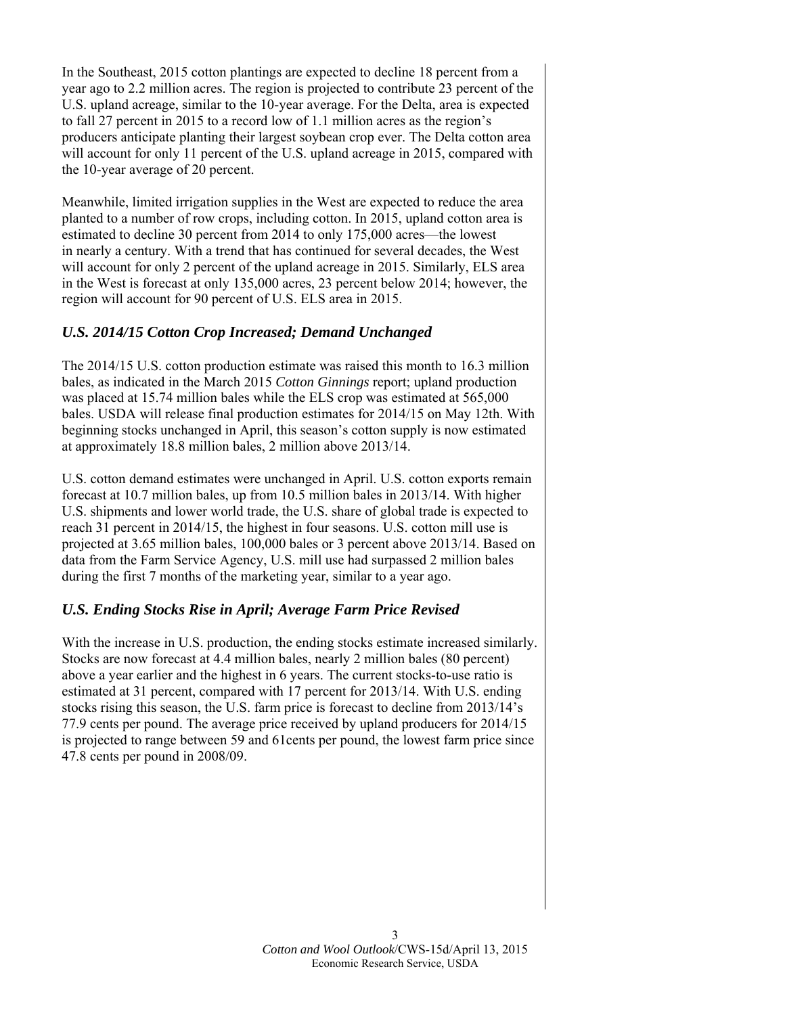In the Southeast, 2015 cotton plantings are expected to decline 18 percent from a year ago to 2.2 million acres. The region is projected to contribute 23 percent of the U.S. upland acreage, similar to the 10-year average. For the Delta, area is expected to fall 27 percent in 2015 to a record low of 1.1 million acres as the region's producers anticipate planting their largest soybean crop ever. The Delta cotton area will account for only 11 percent of the U.S. upland acreage in 2015, compared with the 10-year average of 20 percent.

Meanwhile, limited irrigation supplies in the West are expected to reduce the area planted to a number of row crops, including cotton. In 2015, upland cotton area is estimated to decline 30 percent from 2014 to only 175,000 acres—the lowest in nearly a century. With a trend that has continued for several decades, the West will account for only 2 percent of the upland acreage in 2015. Similarly, ELS area in the West is forecast at only 135,000 acres, 23 percent below 2014; however, the region will account for 90 percent of U.S. ELS area in 2015.

# *U.S. 2014/15 Cotton Crop Increased; Demand Unchanged*

The 2014/15 U.S. cotton production estimate was raised this month to 16.3 million bales, as indicated in the March 2015 *Cotton Ginnings* report; upland production was placed at 15.74 million bales while the ELS crop was estimated at 565,000 bales. USDA will release final production estimates for 2014/15 on May 12th. With beginning stocks unchanged in April, this season's cotton supply is now estimated at approximately 18.8 million bales, 2 million above 2013/14.

U.S. cotton demand estimates were unchanged in April. U.S. cotton exports remain forecast at 10.7 million bales, up from 10.5 million bales in 2013/14. With higher U.S. shipments and lower world trade, the U.S. share of global trade is expected to reach 31 percent in 2014/15, the highest in four seasons. U.S. cotton mill use is projected at 3.65 million bales, 100,000 bales or 3 percent above 2013/14. Based on data from the Farm Service Agency, U.S. mill use had surpassed 2 million bales during the first 7 months of the marketing year, similar to a year ago.

# *U.S. Ending Stocks Rise in April; Average Farm Price Revised*

With the increase in U.S. production, the ending stocks estimate increased similarly. Stocks are now forecast at 4.4 million bales, nearly 2 million bales (80 percent) above a year earlier and the highest in 6 years. The current stocks-to-use ratio is estimated at 31 percent, compared with 17 percent for 2013/14. With U.S. ending stocks rising this season, the U.S. farm price is forecast to decline from 2013/14's 77.9 cents per pound. The average price received by upland producers for 2014/15 is projected to range between 59 and 61cents per pound, the lowest farm price since 47.8 cents per pound in 2008/09.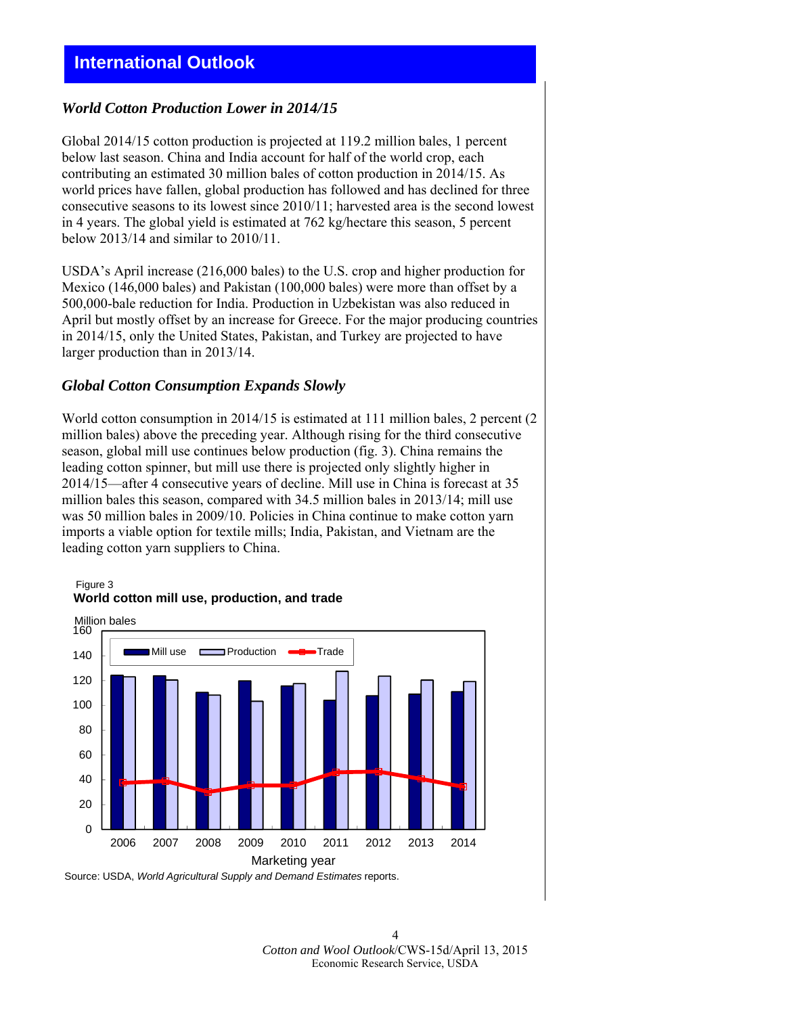# **International Outlook**

## *World Cotton Production Lower in 2014/15*

Global 2014/15 cotton production is projected at 119.2 million bales, 1 percent below last season. China and India account for half of the world crop, each contributing an estimated 30 million bales of cotton production in 2014/15. As world prices have fallen, global production has followed and has declined for three consecutive seasons to its lowest since 2010/11; harvested area is the second lowest in 4 years. The global yield is estimated at 762 kg/hectare this season, 5 percent below 2013/14 and similar to 2010/11.

USDA's April increase (216,000 bales) to the U.S. crop and higher production for Mexico (146,000 bales) and Pakistan (100,000 bales) were more than offset by a 500,000-bale reduction for India. Production in Uzbekistan was also reduced in April but mostly offset by an increase for Greece. For the major producing countries in 2014/15, only the United States, Pakistan, and Turkey are projected to have larger production than in 2013/14.

### *Global Cotton Consumption Expands Slowly*

World cotton consumption in 2014/15 is estimated at 111 million bales, 2 percent (2 million bales) above the preceding year. Although rising for the third consecutive season, global mill use continues below production (fig. 3). China remains the leading cotton spinner, but mill use there is projected only slightly higher in 2014/15—after 4 consecutive years of decline. Mill use in China is forecast at 35 million bales this season, compared with 34.5 million bales in 2013/14; mill use was 50 million bales in 2009/10. Policies in China continue to make cotton yarn imports a viable option for textile mills; India, Pakistan, and Vietnam are the leading cotton yarn suppliers to China.

#### Figure 3 **World cotton mill use, production, and trade**



Source: USDA, *World Agricultural Supply and Demand Estimates* reports.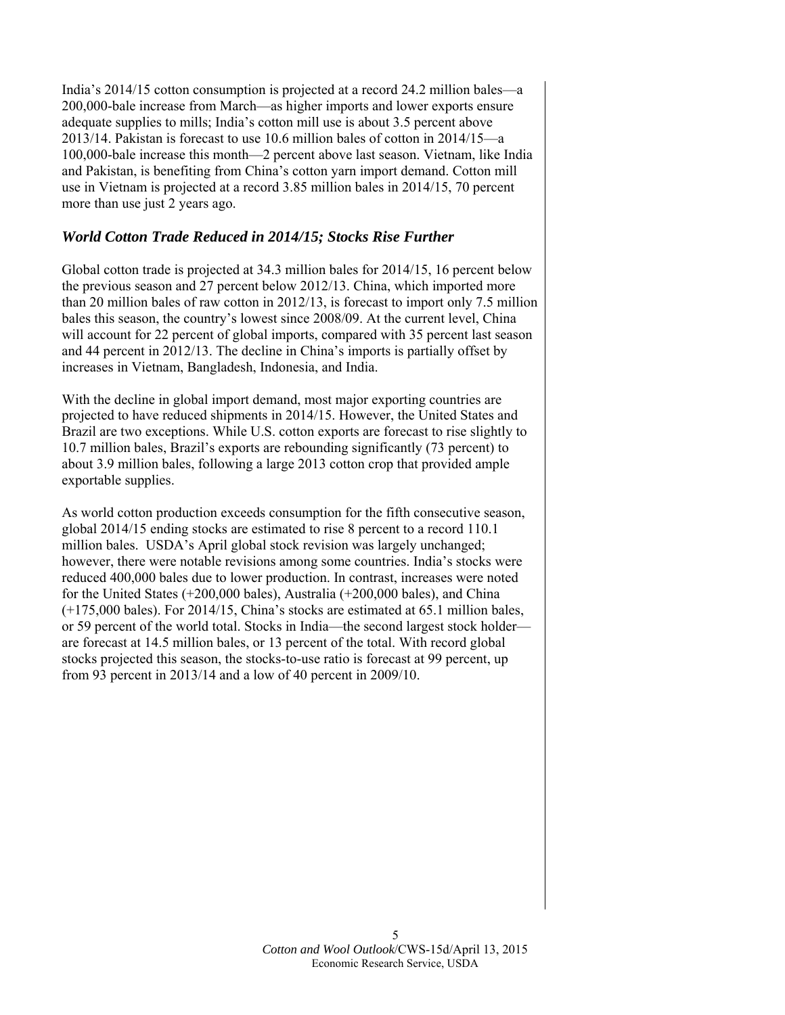India's 2014/15 cotton consumption is projected at a record 24.2 million bales—a 200,000-bale increase from March—as higher imports and lower exports ensure adequate supplies to mills; India's cotton mill use is about 3.5 percent above 2013/14. Pakistan is forecast to use 10.6 million bales of cotton in 2014/15—a 100,000-bale increase this month—2 percent above last season. Vietnam, like India and Pakistan, is benefiting from China's cotton yarn import demand. Cotton mill use in Vietnam is projected at a record 3.85 million bales in 2014/15, 70 percent more than use just 2 years ago.

# *World Cotton Trade Reduced in 2014/15; Stocks Rise Further*

Global cotton trade is projected at 34.3 million bales for 2014/15, 16 percent below the previous season and 27 percent below 2012/13. China, which imported more than 20 million bales of raw cotton in 2012/13, is forecast to import only 7.5 million bales this season, the country's lowest since 2008/09. At the current level, China will account for 22 percent of global imports, compared with 35 percent last season and 44 percent in 2012/13. The decline in China's imports is partially offset by increases in Vietnam, Bangladesh, Indonesia, and India.

With the decline in global import demand, most major exporting countries are projected to have reduced shipments in 2014/15. However, the United States and Brazil are two exceptions. While U.S. cotton exports are forecast to rise slightly to 10.7 million bales, Brazil's exports are rebounding significantly (73 percent) to about 3.9 million bales, following a large 2013 cotton crop that provided ample exportable supplies.

As world cotton production exceeds consumption for the fifth consecutive season, global 2014/15 ending stocks are estimated to rise 8 percent to a record 110.1 million bales. USDA's April global stock revision was largely unchanged; however, there were notable revisions among some countries. India's stocks were reduced 400,000 bales due to lower production. In contrast, increases were noted for the United States (+200,000 bales), Australia (+200,000 bales), and China (+175,000 bales). For 2014/15, China's stocks are estimated at 65.1 million bales, or 59 percent of the world total. Stocks in India—the second largest stock holder are forecast at 14.5 million bales, or 13 percent of the total. With record global stocks projected this season, the stocks-to-use ratio is forecast at 99 percent, up from 93 percent in 2013/14 and a low of 40 percent in 2009/10.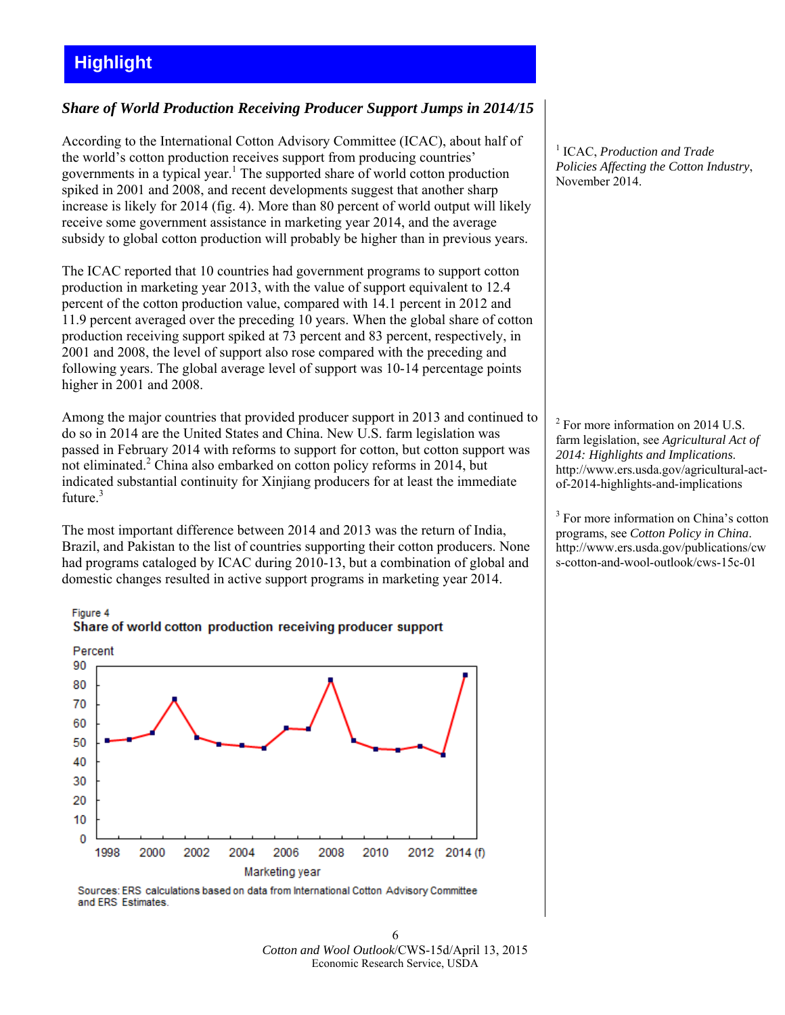# **Highlight**

# *Share of World Production Receiving Producer Support Jumps in 2014/15*

According to the International Cotton Advisory Committee (ICAC), about half of the world's cotton production receives support from producing countries' governments in a typical year.<sup>1</sup> The supported share of world cotton production spiked in 2001 and 2008, and recent developments suggest that another sharp increase is likely for 2014 (fig. 4). More than 80 percent of world output will likely receive some government assistance in marketing year 2014, and the average subsidy to global cotton production will probably be higher than in previous years.

The ICAC reported that 10 countries had government programs to support cotton production in marketing year 2013, with the value of support equivalent to 12.4 percent of the cotton production value, compared with 14.1 percent in 2012 and 11.9 percent averaged over the preceding 10 years. When the global share of cotton production receiving support spiked at 73 percent and 83 percent, respectively, in 2001 and 2008, the level of support also rose compared with the preceding and following years. The global average level of support was 10-14 percentage points higher in 2001 and 2008.

Among the major countries that provided producer support in 2013 and continued to do so in 2014 are the United States and China. New U.S. farm legislation was passed in February 2014 with reforms to support for cotton, but cotton support was not eliminated.<sup>2</sup> China also embarked on cotton policy reforms in 2014, but indicated substantial continuity for Xinjiang producers for at least the immediate future $^3$ 

The most important difference between 2014 and 2013 was the return of India, Brazil, and Pakistan to the list of countries supporting their cotton producers. None had programs cataloged by ICAC during 2010-13, but a combination of global and domestic changes resulted in active support programs in marketing year 2014.



Figure 4 Share of world cotton production receiving producer support

Sources: ERS calculations based on data from International Cotton Advisory Committee and ERS Estimates.

1 ICAC, *Production and Trade Policies Affecting the Cotton Industry*, November 2014.

> <sup>2</sup> For more information on 2014 U.S. farm legislation, see *Agricultural Act of 2014: Highlights and Implications*. http://www.ers.usda.gov/agricultural-actof-2014-highlights-and-implications

<sup>3</sup> For more information on China's cotton programs, see *Cotton Policy in China*. http://www.ers.usda.gov/publications/cw s-cotton-and-wool-outlook/cws-15c-01

6 *Cotton and Wool Outlook*/CWS-15d/April 13, 2015 Economic Research Service, USDA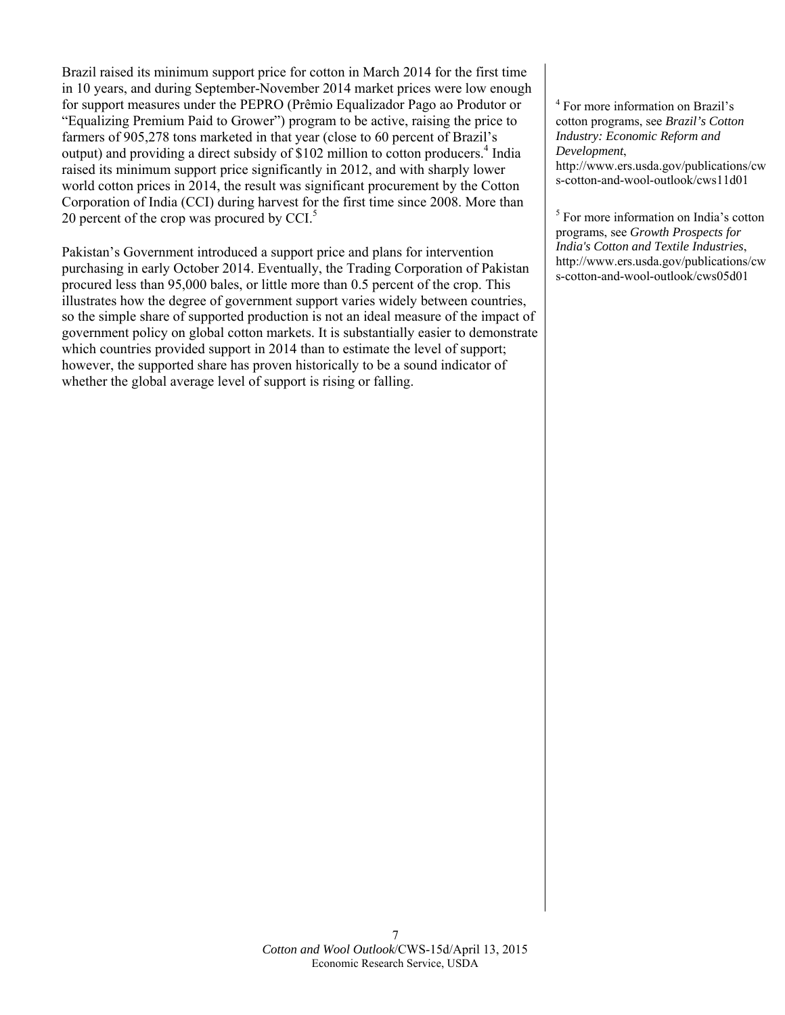Brazil raised its minimum support price for cotton in March 2014 for the first time in 10 years, and during September-November 2014 market prices were low enough for support measures under the PEPRO (Prêmio Equalizador Pago ao Produtor or "Equalizing Premium Paid to Grower") program to be active, raising the price to farmers of 905,278 tons marketed in that year (close to 60 percent of Brazil's output) and providing a direct subsidy of \$102 million to cotton producers.<sup>4</sup> India raised its minimum support price significantly in 2012, and with sharply lower world cotton prices in 2014, the result was significant procurement by the Cotton Corporation of India (CCI) during harvest for the first time since 2008. More than 20 percent of the crop was procured by  $CCI<sub>5</sub>$ 

Pakistan's Government introduced a support price and plans for intervention purchasing in early October 2014. Eventually, the Trading Corporation of Pakistan procured less than 95,000 bales, or little more than 0.5 percent of the crop. This illustrates how the degree of government support varies widely between countries, so the simple share of supported production is not an ideal measure of the impact of government policy on global cotton markets. It is substantially easier to demonstrate which countries provided support in 2014 than to estimate the level of support; however, the supported share has proven historically to be a sound indicator of whether the global average level of support is rising or falling.

4 For more information on Brazil's cotton programs, see *Brazil's Cotton Industry: Economic Reform and Development*,

http://www.ers.usda.gov/publications/cw s-cotton-and-wool-outlook/cws11d01

5 For more information on India's cotton programs, see *Growth Prospects for India's Cotton and Textile Industries*, http://www.ers.usda.gov/publications/cw s-cotton-and-wool-outlook/cws05d01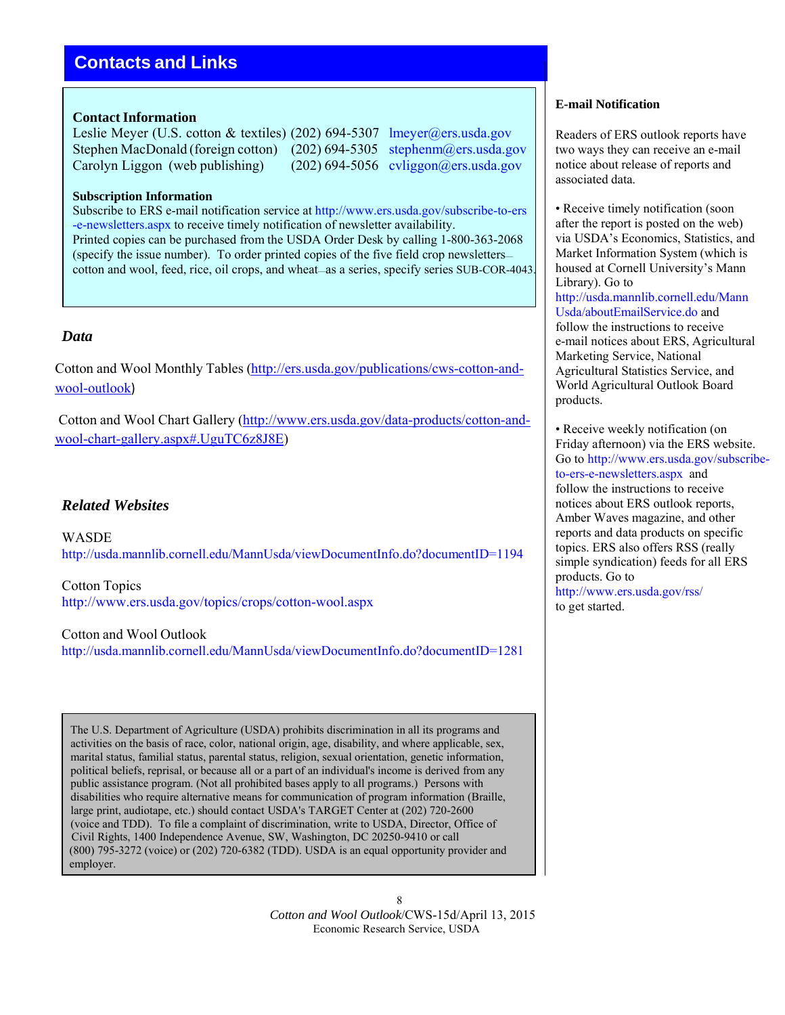# **Contacts and Links**

## **Contact Information**

Leslie Meyer (U.S. cotton & textiles) (202) 694-5307 lmeyer@ers.usda.gov Stephen MacDonald (foreign cotton) (202) 694-5305 stephenm@ers.usda.gov Carolyn Liggon (web publishing) (202) 694-5056 cyliggon@ers.usda.gov

#### **Subscription Information**

Subscribe to ERS e-mail notification service at http://www.ers.usda.gov/subscribe-to-ers -e-newsletters.aspx to receive timely notification of newsletter availability. Printed copies can be purchased from the USDA Order Desk by calling 1-800-363-2068 (specify the issue number). To order printed copies of the five field crop newsletters cotton and wool, feed, rice, oil crops, and wheat—as a series, specify series SUB-COR-4043.

## *Data*

Cotton and Wool Monthly Tables (http://ers.usda.gov/publications/cws-cotton-andwool-outlook)

Cotton and Wool Chart Gallery (http://www.ers.usda.gov/data-products/cotton-andwool-chart-gallery.aspx#.UguTC6z8J8E)

## *Related Websites*

WASDE http://usda.mannlib.cornell.edu/MannUsda/viewDocumentInfo.do?documentID=1194

Cotton Topics http://www.ers.usda.gov/topics/crops/cotton-wool.aspx

Cotton and Wool Outlook http://usda.mannlib.cornell.edu/MannUsda/viewDocumentInfo.do?documentID=1281

The U.S. Department of Agriculture (USDA) prohibits discrimination in all its programs and activities on the basis of race, color, national origin, age, disability, and where applicable, sex, marital status, familial status, parental status, religion, sexual orientation, genetic information, political beliefs, reprisal, or because all or a part of an individual's income is derived from any public assistance program. (Not all prohibited bases apply to all programs.) Persons with disabilities who require alternative means for communication of program information (Braille, large print, audiotape, etc.) should contact USDA's TARGET Center at (202) 720-2600 (voice and TDD). To file a complaint of discrimination, write to USDA, Director, Office of Civil Rights, 1400 Independence Avenue, SW, Washington, DC 20250-9410 or call (800) 795-3272 (voice) or (202) 720-6382 (TDD). USDA is an equal opportunity provider and employer.

#### **E-mail Notification**

Readers of ERS outlook reports have two ways they can receive an e-mail notice about release of reports and associated data.

• Receive timely notification (soon) after the report is posted on the web) via USDA's Economics, Statistics, and Market Information System (which is housed at Cornell University's Mann Library). Go to http://usda.mannlib.cornell.edu/Mann Usda/aboutEmailService.do and follow the instructions to receive e-mail notices about ERS, Agricultural Marketing Service, National Agricultural Statistics Service, and World Agricultural Outlook Board products.

• Receive weekly notification (on Friday afternoon) via the ERS website. Go to http://www.ers.usda.gov/subscribeto-ers-e-newsletters.aspx and follow the instructions to receive notices about ERS outlook reports, Amber Waves magazine, and other reports and data products on specific topics. ERS also offers RSS (really simple syndication) feeds for all ERS products. Go to http://www.ers.usda.gov/rss/ to get started.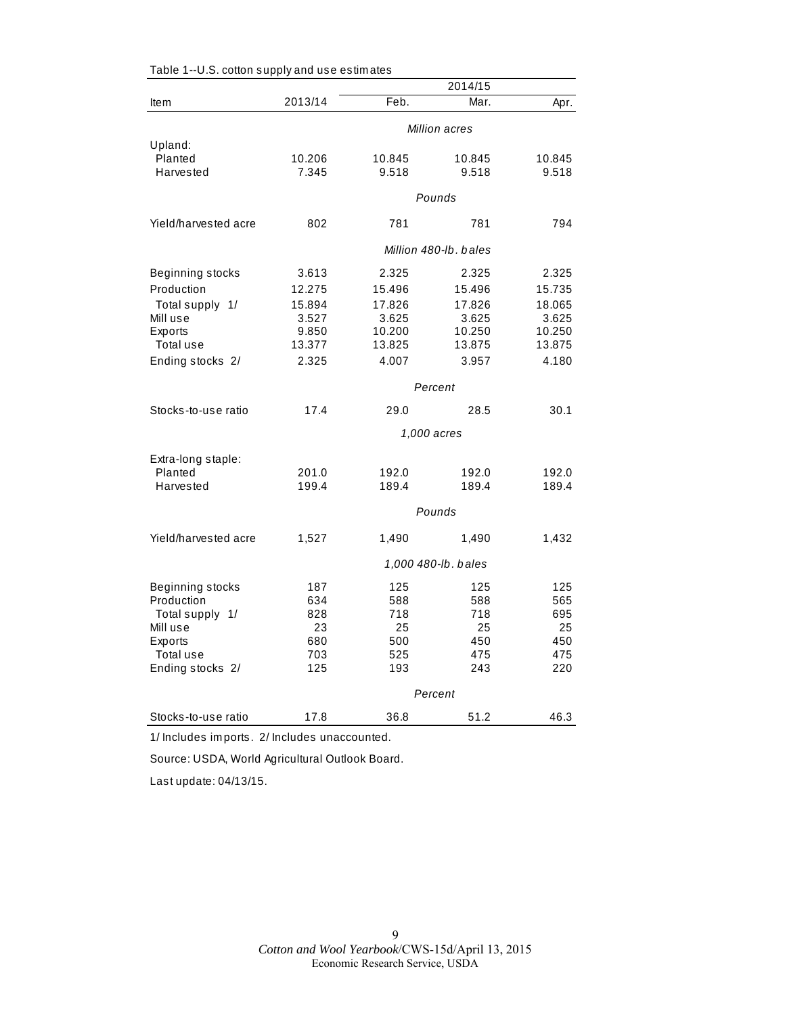|                      |         |        | 2014/15               |        |
|----------------------|---------|--------|-----------------------|--------|
| Item                 | 2013/14 | Feb.   | Mar.                  | Apr.   |
|                      |         |        | Million acres         |        |
| Upland:              |         |        |                       |        |
| Planted              | 10.206  | 10.845 | 10.845                | 10.845 |
| Harvested            | 7.345   | 9.518  | 9.518                 | 9.518  |
|                      |         |        | Pounds                |        |
| Yield/harvested acre | 802     | 781    | 781                   | 794    |
|                      |         |        | Million 480-lb, bales |        |
| Beginning stocks     | 3.613   | 2.325  | 2.325                 | 2.325  |
| Production           | 12.275  | 15.496 | 15.496                | 15.735 |
| Total supply 1/      | 15.894  | 17.826 | 17.826                | 18.065 |
| Mill use             | 3.527   | 3.625  | 3.625                 | 3.625  |
| Exports              | 9.850   | 10.200 | 10.250                | 10.250 |
| Total use            | 13.377  | 13.825 | 13.875                | 13.875 |
| Ending stocks 2/     | 2.325   | 4.007  | 3.957                 | 4.180  |
|                      |         |        | Percent               |        |
| Stocks-to-use ratio  | 17.4    | 29.0   | 28.5                  | 30.1   |
|                      |         |        |                       |        |
|                      |         |        | 1,000 acres           |        |
| Extra-long staple:   |         |        |                       |        |
| Planted              | 201.0   | 192.0  | 192.0                 | 192.0  |
| Harvested            | 199.4   | 189.4  | 189.4                 | 189.4  |
|                      |         |        | Pounds                |        |
| Yield/harvested acre | 1,527   | 1,490  | 1,490                 | 1,432  |
|                      |         |        | 1,000 480-lb. bales   |        |
| Beginning stocks     | 187     | 125    | 125                   | 125    |
| Production           | 634     | 588    | 588                   | 565    |
| Total supply 1/      | 828     | 718    | 718                   | 695    |
| Mill use             | 23      | 25     | 25                    | 25     |
| Exports              | 680     | 500    | 450                   | 450    |
| Total use            | 703     | 525    | 475                   | 475    |
| Ending stocks 2/     | 125     | 193    | 243                   | 220    |
|                      |         |        | Percent               |        |
| Stocks-to-use ratio  | 17.8    | 36.8   | 51.2                  | 46.3   |
|                      |         |        |                       |        |

Table 1--U.S. cotton supply and use estim ates

1/ Includes im ports. 2/ Includes unaccounted.

Source: USDA, World Agricultural Outlook Board.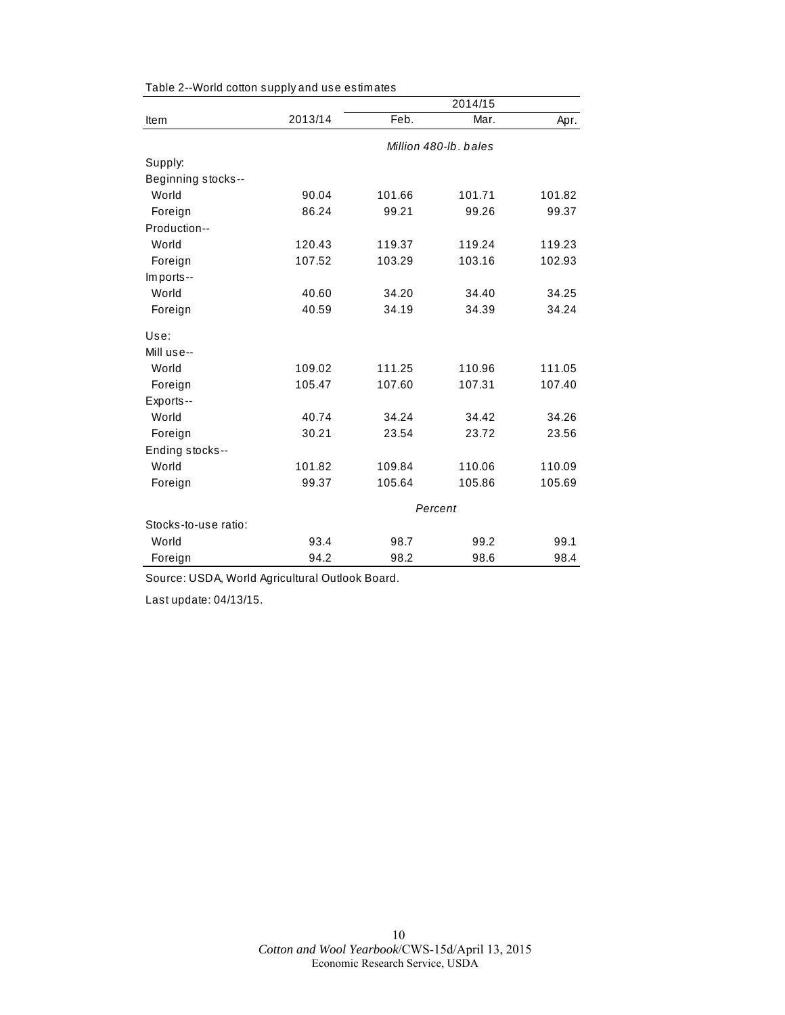|                      |         |        | 2014/15               |        |
|----------------------|---------|--------|-----------------------|--------|
| Item                 | 2013/14 | Feb.   | Mar.                  | Apr.   |
|                      |         |        | Million 480-lb, bales |        |
| Supply:              |         |        |                       |        |
| Beginning stocks--   |         |        |                       |        |
| World                | 90.04   | 101.66 | 101.71                | 101.82 |
| Foreign              | 86.24   | 99.21  | 99.26                 | 99.37  |
| Production--         |         |        |                       |        |
| World                | 120.43  | 119.37 | 119.24                | 119.23 |
| Foreign              | 107.52  | 103.29 | 103.16                | 102.93 |
| Imports--            |         |        |                       |        |
| World                | 40.60   | 34.20  | 34.40                 | 34.25  |
| Foreign              | 40.59   | 34.19  | 34.39                 | 34.24  |
| Use:                 |         |        |                       |        |
| Mill use--           |         |        |                       |        |
| World                | 109.02  | 111.25 | 110.96                | 111.05 |
| Foreign              | 105.47  | 107.60 | 107.31                | 107.40 |
| Exports--            |         |        |                       |        |
| World                | 40.74   | 34.24  | 34.42                 | 34.26  |
| Foreign              | 30.21   | 23.54  | 23.72                 | 23.56  |
| Ending stocks--      |         |        |                       |        |
| World                | 101.82  | 109.84 | 110.06                | 110.09 |
| Foreign              | 99.37   | 105.64 | 105.86                | 105.69 |
|                      |         |        | Percent               |        |
| Stocks-to-use ratio: |         |        |                       |        |
| World                | 93.4    | 98.7   | 99.2                  | 99.1   |
| Foreign              | 94.2    | 98.2   | 98.6                  | 98.4   |

Table 2--World cotton supply and use estim ates

Source: USDA, World Agricultural Outlook Board.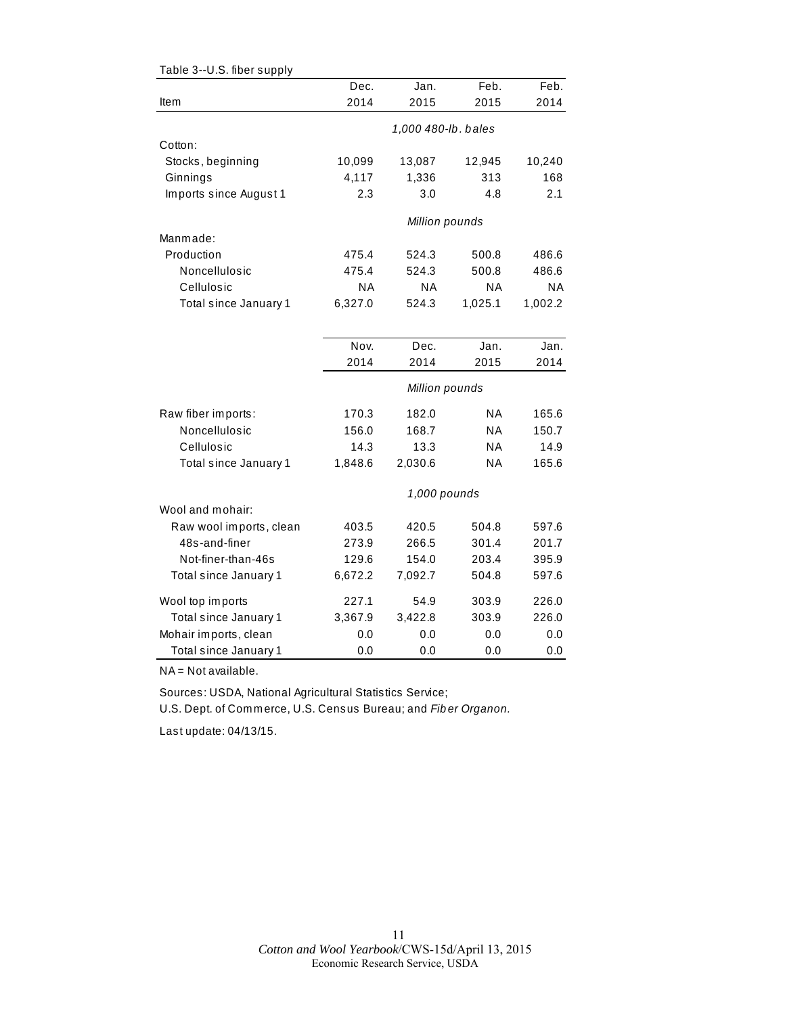| Table 3--U.S. fiber supply |         |                     |           |           |
|----------------------------|---------|---------------------|-----------|-----------|
|                            | Dec.    | Jan.                | Feb.      | Feb.      |
| Item                       | 2014    | 2015                | 2015      | 2014      |
|                            |         | 1,000 480-lb. bales |           |           |
| Cotton:                    |         |                     |           |           |
| Stocks, beginning          | 10,099  | 13,087              | 12,945    | 10,240    |
| Ginnings                   | 4,117   | 1,336               | 313       | 168       |
| Imports since August 1     | 2.3     | 3.0                 | 4.8       | 2.1       |
|                            |         | Million pounds      |           |           |
| Manmade:                   |         |                     |           |           |
| Production                 | 475.4   | 524.3               | 500.8     | 486.6     |
| Noncellulosic              | 475.4   | 524.3               | 500.8     | 486.6     |
| Cellulosic                 | ΝA      | <b>NA</b>           | <b>NA</b> | <b>NA</b> |
| Total since January 1      | 6,327.0 | 524.3               | 1,025.1   | 1,002.2   |
|                            |         |                     |           |           |
|                            | Nov.    | Dec.                | Jan.      | Jan.      |
|                            | 2014    | 2014                | 2015      | 2014      |
|                            |         | Million pounds      |           |           |
| Raw fiber imports:         | 170.3   | 182.0               | ΝA        | 165.6     |
| Noncellulosic              | 156.0   | 168.7               | <b>NA</b> | 150.7     |
| Cellulosic                 | 14.3    | 13.3                | <b>NA</b> | 14.9      |
| Total since January 1      | 1,848.6 | 2,030.6             | ΝA        | 165.6     |
|                            |         | 1,000 pounds        |           |           |
| Wool and mohair:           |         |                     |           |           |
| Raw wool imports, clean    | 403.5   | 420.5               | 504.8     | 597.6     |
| 48s-and-finer              | 273.9   | 266.5               | 301.4     | 201.7     |
| Not-finer-than-46s         | 129.6   | 154.0               | 203.4     | 395.9     |
| Total since January 1      | 6,672.2 | 7,092.7             | 504.8     | 597.6     |
| Wool top imports           | 227.1   | 54.9                | 303.9     | 226.0     |
| Total since January 1      | 3,367.9 | 3,422.8             | 303.9     | 226.0     |
| Mohair imports, clean      | 0.0     | 0.0                 | 0.0       | 0.0       |
| Total since January 1      | 0.0     | 0.0                 | 0.0       | 0.0       |

NA = Not available.

Sources: USDA, National Agricultural Statistics Service;

U.S. Dept. of Com m erce, U.S. Census Bureau; and *Fib er Organon.*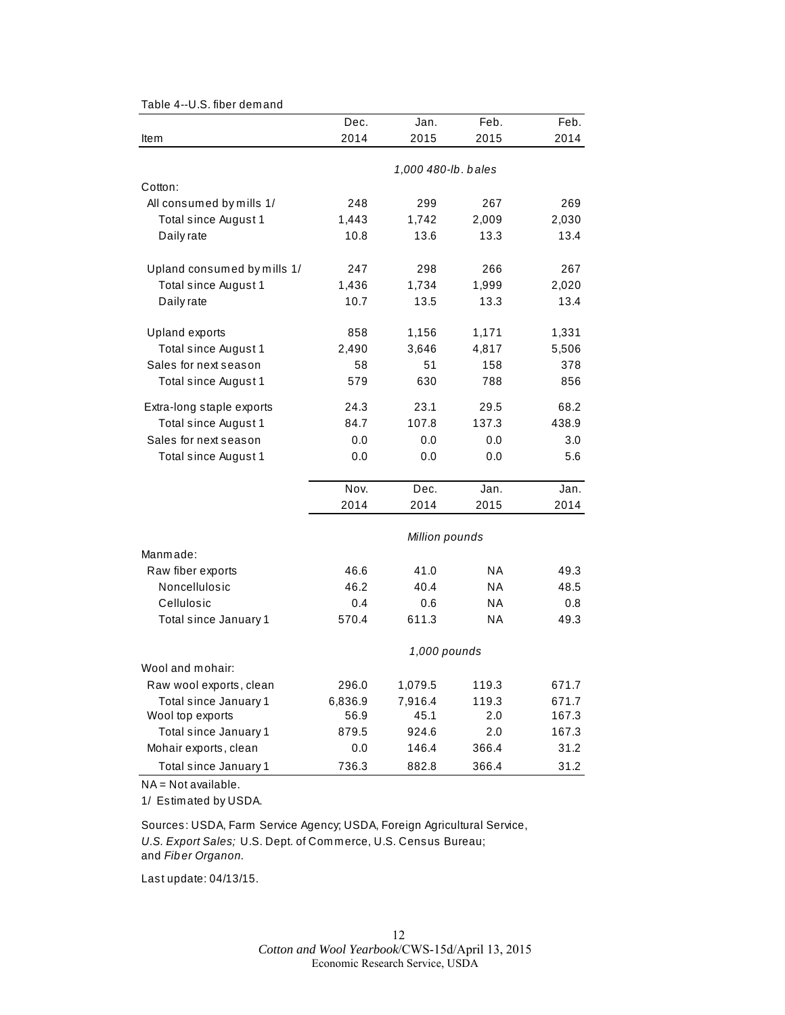|                             | Dec.    | Jan.                | Feb.      | Feb.        |
|-----------------------------|---------|---------------------|-----------|-------------|
| <b>Item</b>                 | 2014    | 2015                | 2015      | 2014        |
|                             |         |                     |           |             |
|                             |         | 1,000 480-lb. bales |           |             |
| Cotton:                     |         |                     |           |             |
| All consumed by mills 1/    | 248     | 299                 | 267       | 269         |
| Total since August 1        | 1,443   | 1,742               | 2,009     | 2,030       |
| Daily rate                  | 10.8    | 13.6                | 13.3      | 13.4        |
| Upland consumed by mills 1/ | 247     | 298                 | 266       | 267         |
| Total since August 1        | 1,436   | 1,734               | 1,999     | 2,020       |
| Daily rate                  | 10.7    | 13.5                | 13.3      | 13.4        |
| Upland exports              | 858     | 1,156               | 1,171     | 1,331       |
| Total since August 1        | 2,490   | 3,646               | 4,817     | 5,506       |
| Sales for next season       | 58      | 51                  | 158       | 378         |
| Total since August 1        | 579     | 630                 | 788       | 856         |
| Extra-long staple exports   | 24.3    | 23.1                | 29.5      | 68.2        |
| Total since August 1        | 84.7    | 107.8               | 137.3     | 438.9       |
| Sales for next season       | 0.0     | 0.0                 | 0.0       | 3.0         |
| Total since August 1        | 0.0     | 0.0                 | 0.0       | 5.6         |
|                             | Nov.    | Dec.                | Jan.      | Jan.        |
|                             | 2014    | 2014                | 2015      | 2014        |
|                             |         |                     |           |             |
| Manmade:                    |         | Million pounds      |           |             |
| Raw fiber exports           | 46.6    | 41.0                | <b>NA</b> | 49.3        |
| Noncellulosic               | 46.2    | 40.4                | <b>NA</b> | 48.5        |
|                             |         |                     | <b>NA</b> |             |
| Cellulosic                  | 0.4     | 0.6<br>611.3        | <b>NA</b> | 0.8<br>49.3 |
| Total since January 1       | 570.4   |                     |           |             |
|                             |         | 1,000 pounds        |           |             |
| Wool and mohair:            |         |                     |           |             |
| Raw wool exports, clean     | 296.0   | 1,079.5             | 119.3     | 671.7       |
| Total since January 1       | 6,836.9 | 7,916.4             | 119.3     | 671.7       |
| Wool top exports            | 56.9    | 45.1                | 2.0       | 167.3       |
| Total since January 1       | 879.5   | 924.6               | 2.0       | 167.3       |
| Mohair exports, clean       | 0.0     | 146.4               | 366.4     | 31.2        |
| Total since January 1       | 736.3   | 882.8               | 366.4     | 31.2        |

Table 4--U.S. fiber dem and

NA = Not available.

1/ Estim ated by USDA.

Sources: USDA, Farm Service Agency; USDA, Foreign Agricultural Service, *U.S. Export Sales;* U.S. Dept. of Com m erce, U.S. Census Bureau; and *Fib er Organon.*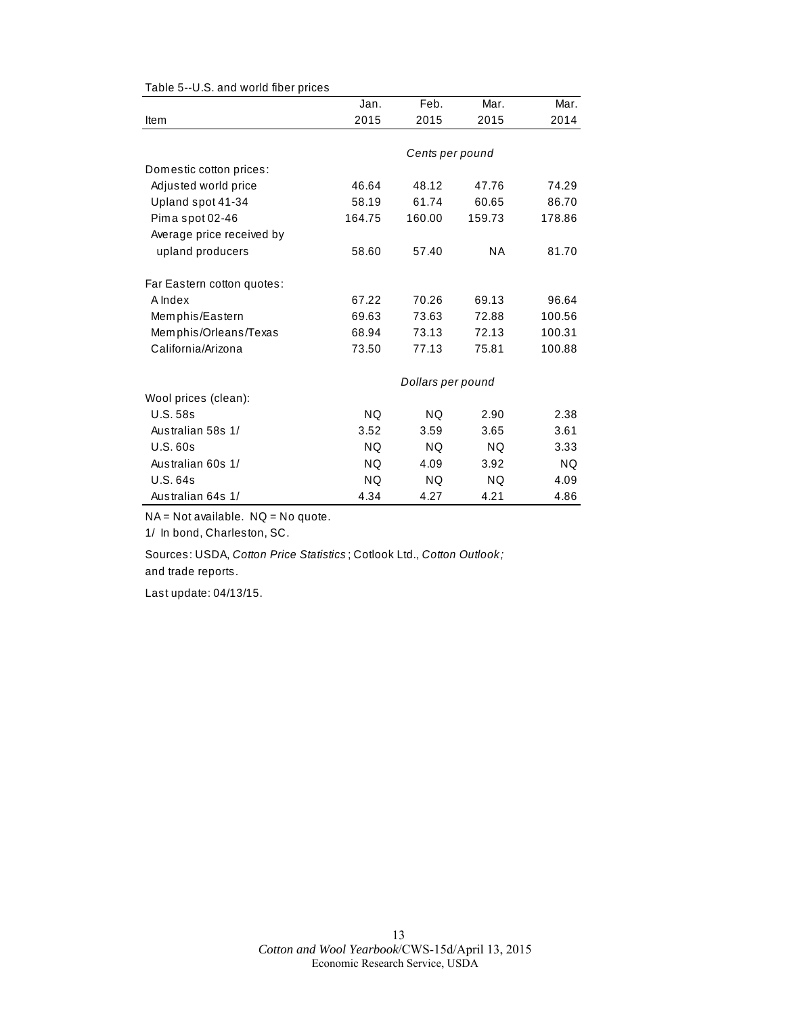|                            | Jan.      | Feb.              | Mar.   | Mar.      |
|----------------------------|-----------|-------------------|--------|-----------|
| <b>Item</b>                | 2015      | 2015              | 2015   | 2014      |
|                            |           |                   |        |           |
|                            |           | Cents per pound   |        |           |
| Domestic cotton prices:    |           |                   |        |           |
| Adjusted world price       | 46.64     | 48.12             | 47.76  | 74.29     |
| Upland spot 41-34          | 58.19     | 61.74             | 60.65  | 86.70     |
| Pima spot 02-46            | 164.75    | 160.00            | 159.73 | 178.86    |
| Average price received by  |           |                   |        |           |
| upland producers           | 58.60     | 57.40             | NA.    | 81.70     |
| Far Eastern cotton quotes: |           |                   |        |           |
| A Index                    | 67.22     | 70.26             | 69.13  | 96.64     |
| Memphis/Eastern            | 69.63     | 73.63             | 72.88  | 100.56    |
| Memphis/Orleans/Texas      | 68.94     | 73.13             | 72.13  | 100.31    |
| California/Arizona         | 73.50     | 77.13             | 75.81  | 100.88    |
|                            |           | Dollars per pound |        |           |
| Wool prices (clean):       |           |                   |        |           |
| <b>U.S. 58s</b>            | NQ.       | NQ.               | 2.90   | 2.38      |
| Australian 58s 1/          | 3.52      | 3.59              | 3.65   | 3.61      |
| <b>U.S. 60s</b>            | <b>NQ</b> | <b>NQ</b>         | NQ.    | 3.33      |
| Australian 60s 1/          | NQ.       | 4.09              | 3.92   | <b>NQ</b> |
| U.S. 64s                   | <b>NQ</b> | <b>NQ</b>         | NQ.    | 4.09      |
| Australian 64s 1/          | 4.34      | 4.27              | 4.21   | 4.86      |

Table 5--U.S. and world fiber prices

NA = Not available. NQ = No quote.

1/ In bond, Charleston, SC.

Sources: USDA, *Cotton Price Statistics* ; Cotlook Ltd., *Cotton Outlook;*  and trade reports.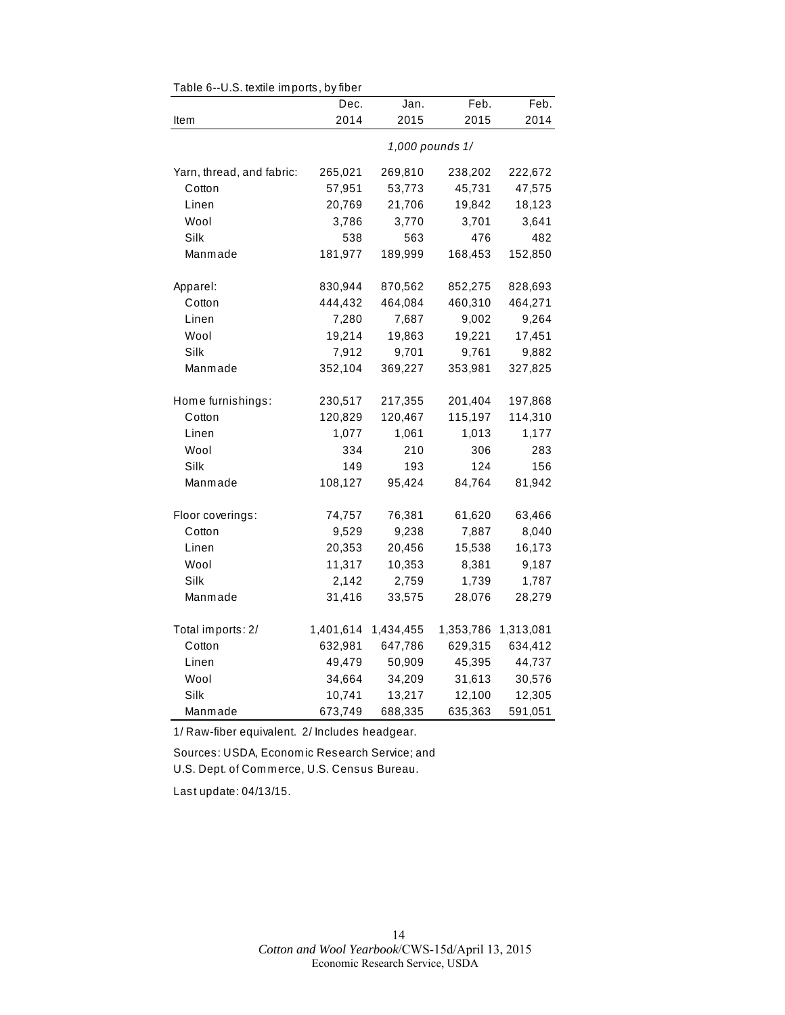|                           | Dec.      | Jan.      | Feb.            | Feb.      |
|---------------------------|-----------|-----------|-----------------|-----------|
| <b>Item</b>               | 2014      | 2015      | 2015            | 2014      |
|                           |           |           | 1,000 pounds 1/ |           |
| Yarn, thread, and fabric: | 265,021   | 269,810   | 238,202         | 222,672   |
| Cotton                    | 57,951    | 53,773    | 45,731          | 47,575    |
| Linen                     | 20,769    | 21,706    | 19,842          | 18,123    |
| Wool                      | 3,786     | 3,770     | 3,701           | 3,641     |
| Silk                      | 538       | 563       | 476             | 482       |
| Manmade                   | 181,977   | 189,999   | 168,453         | 152,850   |
| Apparel:                  | 830,944   | 870,562   | 852,275         | 828,693   |
| Cotton                    | 444,432   | 464,084   | 460,310         | 464,271   |
| Linen                     | 7,280     | 7,687     | 9,002           | 9,264     |
| Wool                      | 19,214    | 19,863    | 19,221          | 17,451    |
| Silk                      | 7,912     | 9,701     | 9,761           | 9,882     |
| Manmade                   | 352,104   | 369,227   | 353,981         | 327,825   |
| Home furnishings:         | 230,517   | 217,355   | 201,404         | 197,868   |
| Cotton                    | 120,829   | 120,467   | 115,197         | 114,310   |
| Linen                     | 1,077     | 1,061     | 1,013           | 1,177     |
| Wool                      | 334       | 210       | 306             | 283       |
| Silk                      | 149       | 193       | 124             | 156       |
| Manmade                   | 108,127   | 95,424    | 84,764          | 81,942    |
| Floor coverings:          | 74,757    | 76,381    | 61,620          | 63,466    |
| Cotton                    | 9,529     | 9,238     | 7,887           | 8,040     |
| Linen                     | 20,353    | 20,456    | 15,538          | 16,173    |
| Wool                      | 11,317    | 10,353    | 8,381           | 9,187     |
| Silk                      | 2,142     | 2,759     | 1,739           | 1,787     |
| Manmade                   | 31,416    | 33,575    | 28,076          | 28,279    |
| Total imports: 2/         | 1,401,614 | 1,434,455 | 1,353,786       | 1,313,081 |
| Cotton                    | 632,981   | 647,786   | 629,315         | 634,412   |
| Linen                     | 49,479    | 50,909    | 45,395          | 44,737    |
| Wool                      | 34,664    | 34,209    | 31,613          | 30,576    |
| Silk                      | 10,741    | 13,217    | 12,100          | 12,305    |
| Manmade                   | 673,749   | 688,335   | 635,363         | 591,051   |

|  |  |  | Table 6--U.S. textile imports, by fiber |  |
|--|--|--|-----------------------------------------|--|
|--|--|--|-----------------------------------------|--|

1/ Raw-fiber equivalent. 2/ Includes headgear.

Sources: USDA, Econom ic Research Service; and U.S. Dept. of Com m erce, U.S. Census Bureau.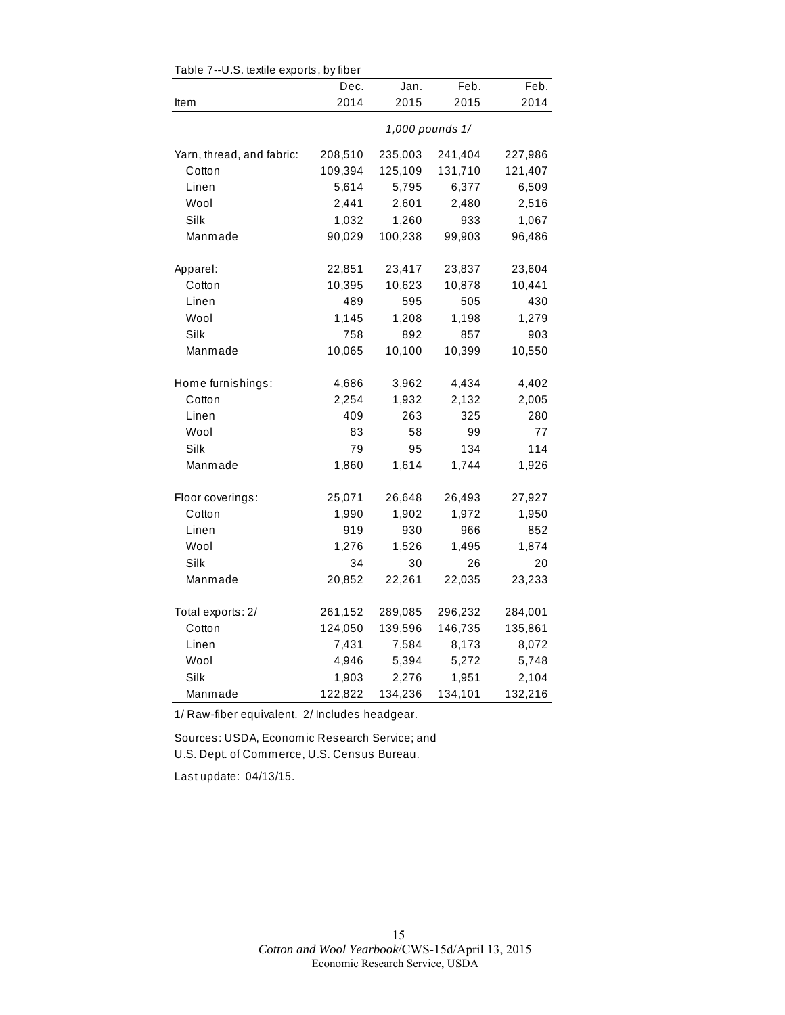| rable $r$ --0.5. lexule exports, by liber | Dec.            | Jan.    | Feb.    | Feb.    |  |
|-------------------------------------------|-----------------|---------|---------|---------|--|
| Item                                      | 2014            | 2015    | 2015    | 2014    |  |
|                                           |                 |         |         |         |  |
|                                           | 1,000 pounds 1/ |         |         |         |  |
| Yarn, thread, and fabric:                 | 208,510         | 235,003 | 241,404 | 227,986 |  |
| Cotton                                    | 109,394         | 125,109 | 131,710 | 121,407 |  |
| Linen                                     | 5,614           | 5,795   | 6,377   | 6,509   |  |
| Wool                                      | 2,441           | 2,601   | 2,480   | 2,516   |  |
| Silk                                      | 1,032           | 1,260   | 933     | 1,067   |  |
| Manmade                                   | 90,029          | 100,238 | 99,903  | 96,486  |  |
|                                           |                 |         |         |         |  |
| Apparel:                                  | 22,851          | 23,417  | 23,837  | 23,604  |  |
| Cotton                                    | 10,395          | 10,623  | 10,878  | 10,441  |  |
| Linen                                     | 489             | 595     | 505     | 430     |  |
| Wool                                      | 1,145           | 1,208   | 1,198   | 1,279   |  |
| Silk                                      | 758             | 892     | 857     | 903     |  |
| Manmade                                   | 10,065          | 10,100  | 10,399  | 10,550  |  |
| Home furnishings:                         | 4,686           | 3,962   | 4,434   | 4,402   |  |
| Cotton                                    | 2,254           | 1,932   | 2,132   | 2,005   |  |
| Linen                                     | 409             | 263     | 325     | 280     |  |
| Wool                                      | 83              | 58      | 99      | 77      |  |
| Silk                                      | 79              | 95      | 134     | 114     |  |
| Manmade                                   | 1,860           | 1,614   | 1,744   | 1,926   |  |
|                                           |                 |         |         |         |  |
| Floor coverings:                          | 25,071          | 26,648  | 26,493  | 27,927  |  |
| Cotton                                    | 1,990           | 1,902   | 1,972   | 1,950   |  |
| Linen                                     | 919             | 930     | 966     | 852     |  |
| Wool                                      | 1,276           | 1,526   | 1,495   | 1,874   |  |
| Silk                                      | 34              | 30      | 26      | 20      |  |
| Manmade                                   | 20,852          | 22,261  | 22,035  | 23,233  |  |
| Total exports: 2/                         | 261,152         | 289,085 | 296,232 | 284,001 |  |
| Cotton                                    | 124,050         | 139,596 | 146,735 | 135,861 |  |
| Linen                                     | 7,431           | 7,584   | 8,173   | 8,072   |  |
| Wool                                      | 4,946           | 5,394   | 5,272   | 5,748   |  |
| Silk                                      | 1,903           | 2,276   | 1,951   | 2,104   |  |
| Manmade                                   | 122,822         | 134,236 | 134,101 | 132,216 |  |

Table 7--U.S. textile exports, by fiber

1/ Raw-fiber equivalent. 2/ Includes headgear.

Sources: USDA, Econom ic Research Service; and U.S. Dept. of Com m erce, U.S. Census Bureau.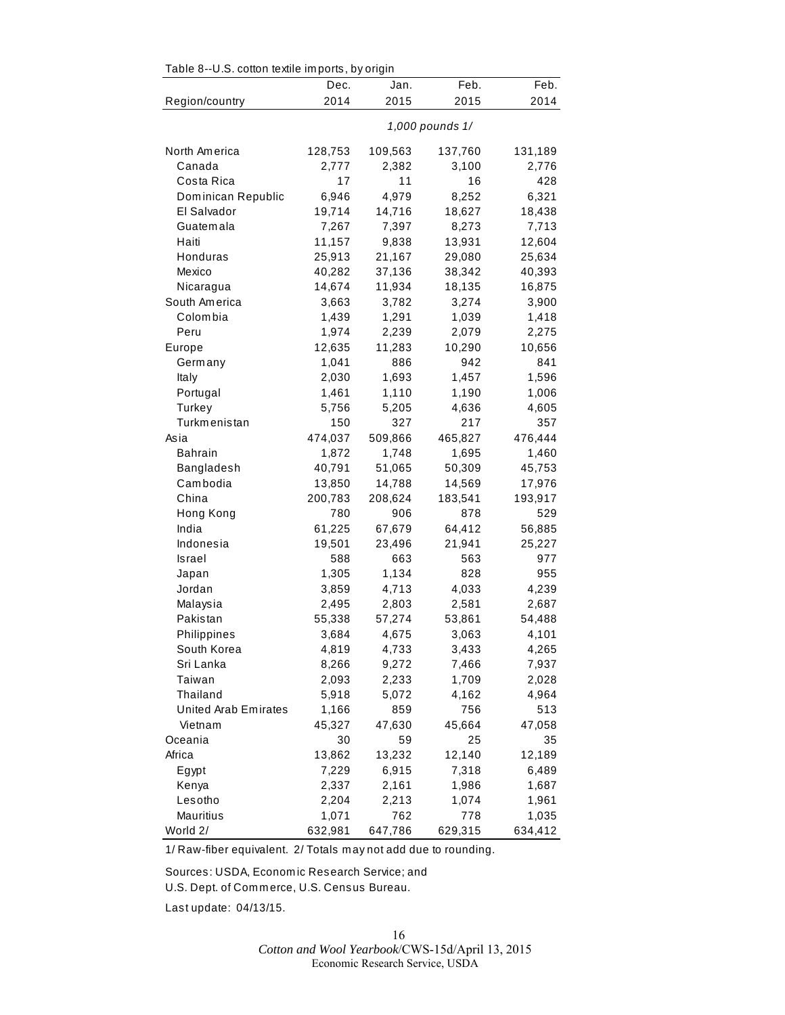| Table 8--0.S. cotton textile imports, by origin |         |         |                 |         |
|-------------------------------------------------|---------|---------|-----------------|---------|
|                                                 | Dec.    | Jan.    | Feb.            | Feb.    |
| Region/country                                  | 2014    | 2015    | 2015            | 2014    |
|                                                 |         |         | 1,000 pounds 1/ |         |
| North America                                   | 128,753 | 109,563 | 137,760         | 131,189 |
| Canada                                          | 2,777   | 2,382   | 3,100           | 2,776   |
| Costa Rica                                      | 17      | 11      | 16              | 428     |
| Dominican Republic                              | 6,946   | 4,979   | 8,252           | 6,321   |
| El Salvador                                     | 19,714  | 14,716  | 18,627          | 18,438  |
| Guatemala                                       | 7,267   | 7,397   | 8,273           | 7,713   |
| Haiti                                           | 11,157  | 9,838   | 13,931          | 12,604  |
| Honduras                                        | 25,913  | 21,167  | 29,080          | 25,634  |
| Mexico                                          | 40,282  | 37,136  | 38,342          | 40,393  |
| Nicaragua                                       | 14,674  | 11,934  | 18,135          | 16,875  |
| South America                                   | 3,663   | 3,782   | 3,274           | 3,900   |
| Colombia                                        | 1,439   | 1,291   | 1,039           | 1,418   |
| Peru                                            | 1,974   | 2,239   | 2,079           | 2,275   |
| Europe                                          | 12,635  | 11,283  | 10,290          | 10,656  |
| Germany                                         | 1,041   | 886     | 942             | 841     |
| Italy                                           | 2,030   | 1,693   | 1,457           | 1,596   |
| Portugal                                        | 1,461   | 1,110   | 1,190           | 1,006   |
| Turkey                                          | 5,756   | 5,205   | 4,636           | 4,605   |
| Turkmenistan                                    | 150     | 327     | 217             | 357     |
| Asia                                            | 474,037 | 509,866 | 465,827         | 476,444 |
| <b>Bahrain</b>                                  | 1,872   | 1,748   | 1,695           | 1,460   |
| Bangladesh                                      | 40,791  | 51,065  | 50,309          | 45,753  |
| Cambodia                                        | 13,850  | 14,788  | 14,569          | 17,976  |
| China                                           | 200,783 | 208,624 | 183,541         | 193,917 |
| Hong Kong                                       | 780     | 906     | 878             | 529     |
| India                                           | 61,225  | 67,679  | 64,412          | 56,885  |
| Indonesia                                       | 19,501  | 23,496  | 21,941          | 25,227  |
| Israel                                          | 588     | 663     | 563             | 977     |
| Japan                                           | 1,305   | 1,134   | 828             | 955     |
| Jordan                                          | 3,859   | 4,713   | 4,033           | 4,239   |
| Malaysia                                        | 2,495   | 2,803   | 2,581           | 2,687   |
| Pakistan                                        | 55,338  | 57,274  | 53,861          | 54,488  |
| Philippines                                     | 3,684   | 4,675   | 3,063           | 4,101   |
| South Korea                                     | 4,819   | 4,733   | 3,433           | 4,265   |
| Sri Lanka                                       | 8,266   | 9,272   | 7,466           | 7,937   |
| Taiwan                                          | 2,093   | 2,233   | 1,709           | 2,028   |
| Thailand                                        | 5,918   | 5,072   | 4,162           | 4,964   |
| United Arab Emirates                            | 1,166   | 859     | 756             | 513     |
| Vietnam                                         | 45,327  | 47,630  | 45,664          | 47,058  |
| Oceania                                         | 30      | 59      | 25              | 35      |
| Africa                                          | 13,862  | 13,232  | 12,140          | 12,189  |
| Egypt                                           | 7,229   | 6,915   | 7,318           | 6,489   |
| Kenya                                           | 2,337   | 2,161   | 1,986           | 1,687   |
| Lesotho                                         | 2,204   | 2,213   | 1,074           | 1,961   |
| Mauritius                                       | 1,071   | 762     | 778             | 1,035   |
| World 2/                                        | 632,981 | 647,786 | 629,315         | 634,412 |

 $Table 8-11$  S, cotton to tile imports, by origin

1/ Raw-fiber equivalent. 2/ Totals m ay not add due to rounding.

Sources: USDA, Economic Research Service; and U.S. Dept. of Com m erce, U.S. Census Bureau.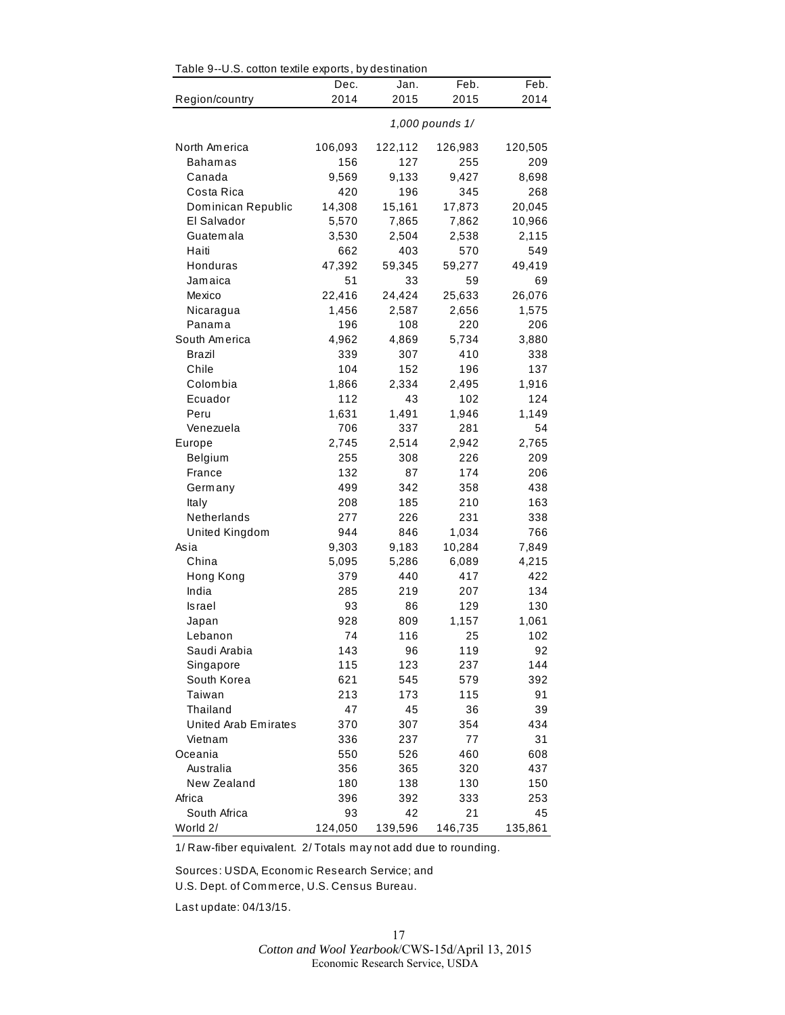|                      | rable 9--0.5. collon lexille exports, by destination |         |                 |         |  |  |  |
|----------------------|------------------------------------------------------|---------|-----------------|---------|--|--|--|
|                      | Dec.                                                 | Jan.    | Feb.            | Feb.    |  |  |  |
| Region/country       | 2014                                                 | 2015    | 2015            | 2014    |  |  |  |
|                      |                                                      |         | 1,000 pounds 1/ |         |  |  |  |
| North America        | 106,093                                              | 122,112 | 126,983         | 120,505 |  |  |  |
| Bahamas              | 156                                                  | 127     | 255             | 209     |  |  |  |
| Canada               | 9,569                                                | 9,133   | 9,427           | 8,698   |  |  |  |
| Costa Rica           | 420                                                  | 196     | 345             | 268     |  |  |  |
| Dominican Republic   | 14,308                                               | 15,161  | 17,873          | 20,045  |  |  |  |
| El Salvador          | 5,570                                                | 7,865   | 7,862           | 10,966  |  |  |  |
| Guatemala            | 3,530                                                | 2,504   | 2,538           | 2,115   |  |  |  |
| Haiti                | 662                                                  | 403     | 570             | 549     |  |  |  |
| Honduras             | 47,392                                               | 59,345  | 59,277          | 49,419  |  |  |  |
| Jamaica              | 51                                                   | 33      | 59              | 69      |  |  |  |
| Mexico               | 22,416                                               | 24,424  | 25,633          | 26,076  |  |  |  |
| Nicaragua            | 1,456                                                | 2,587   | 2,656           | 1,575   |  |  |  |
| Panama               | 196                                                  | 108     | 220             | 206     |  |  |  |
| South America        | 4,962                                                | 4,869   | 5,734           | 3,880   |  |  |  |
| Brazil               | 339                                                  | 307     | 410             | 338     |  |  |  |
| Chile                | 104                                                  | 152     | 196             | 137     |  |  |  |
| Colombia             | 1,866                                                | 2,334   | 2,495           | 1,916   |  |  |  |
| Ecuador              | 112                                                  | 43      | 102             | 124     |  |  |  |
| Peru                 | 1,631                                                | 1,491   | 1,946           | 1,149   |  |  |  |
| Venezuela            | 706                                                  | 337     | 281             | 54      |  |  |  |
| Europe               | 2,745                                                | 2,514   | 2,942           | 2,765   |  |  |  |
| Belgium              | 255                                                  | 308     | 226             | 209     |  |  |  |
| France               | 132                                                  | 87      | 174             | 206     |  |  |  |
| Germany              | 499                                                  | 342     | 358             | 438     |  |  |  |
| Italy                | 208                                                  | 185     | 210             | 163     |  |  |  |
| Netherlands          | 277                                                  | 226     | 231             | 338     |  |  |  |
| United Kingdom       | 944                                                  | 846     | 1,034           | 766     |  |  |  |
| Asia                 | 9,303                                                | 9,183   | 10,284          | 7,849   |  |  |  |
| China                | 5,095                                                | 5,286   | 6,089           | 4,215   |  |  |  |
| Hong Kong            | 379                                                  | 440     | 417             | 422     |  |  |  |
| India                | 285                                                  | 219     | 207             | 134     |  |  |  |
| Israel               | 93                                                   | 86      | 129             | 130     |  |  |  |
| Japan                | 928                                                  | 809     | 1,157           | 1,061   |  |  |  |
| Lebanon              | 74                                                   | 116     | 25              | 102     |  |  |  |
| Saudi Arabia         | 143                                                  | 96      | 119             | 92      |  |  |  |
| Singapore            | 115                                                  | 123     | 237             | 144     |  |  |  |
| South Korea          | 621                                                  | 545     | 579             | 392     |  |  |  |
| Taiwan               | 213                                                  | 173     | 115             | 91      |  |  |  |
| Thailand             | 47                                                   | 45      | 36              | 39      |  |  |  |
| United Arab Emirates | 370                                                  | 307     | 354             | 434     |  |  |  |
| Vietnam              | 336                                                  | 237     | 77              | 31      |  |  |  |
| Oceania              | 550                                                  | 526     | 460             | 608     |  |  |  |
| Australia            | 356                                                  | 365     | 320             | 437     |  |  |  |
| New Zealand          | 180                                                  | 138     | 130             | 150     |  |  |  |
| Africa               | 396                                                  | 392     | 333             | 253     |  |  |  |
| South Africa         | 93                                                   | 42      | 21              | 45      |  |  |  |
| World 2/             | 124,050                                              | 139,596 | 146,735         | 135,861 |  |  |  |

Table 9--U.S. cotton textile exports, by destination

1/ Raw-fiber equivalent. 2/ Totals m ay not add due to rounding.

Sources: USDA, Econom ic Research Service; and

U.S. Dept. of Com m erce, U.S. Census Bureau.